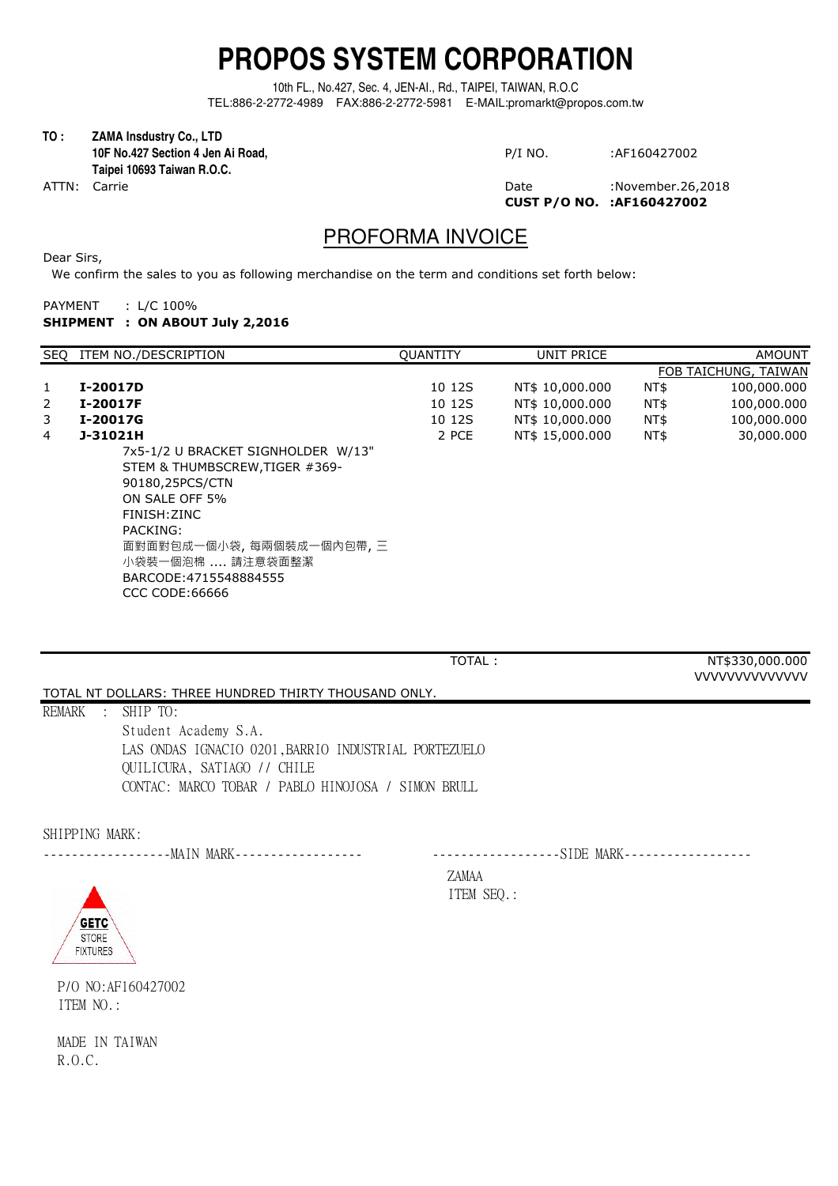## **PROPOS SYSTEM CORPORATION**

10th FL., No.427, Sec. 4, JEN-AI., Rd., TAIPEI, TAIWAN, R.O.C TEL:886-2-2772-4989 FAX:886-2-2772-5981 E-MAIL:promarkt@propos.com.tw

**TO : ZAMA Insdustry Co., LTD 10F No.427 Section 4 Jen Ai Road, Taipei 10693 Taiwan R.O.C.**

ATTN: Carrie 26,2018 and 2012 and 2013 and 2014 and 2014 and 2014 and 2014 and 2014 and 2014 and 201 **CUST P/O NO. :AF160427002**

## PROFORMA INVOICE

Dear Sirs,

We confirm the sales to you as following merchandise on the term and conditions set forth below:

| PAYMENT | : $L/C$ 100%                    |
|---------|---------------------------------|
|         | SHIPMENT : ON ABOUT July 2,2016 |

|              | SEO ITEM NO./DESCRIPTION                                                                                                                                                            | <b>QUANTITY</b> | UNIT PRICE      |      | <b>AMOUNT</b>        |
|--------------|-------------------------------------------------------------------------------------------------------------------------------------------------------------------------------------|-----------------|-----------------|------|----------------------|
|              |                                                                                                                                                                                     |                 |                 |      | FOB TAICHUNG, TAIWAN |
| $\mathbf{1}$ | I-20017D                                                                                                                                                                            | 10 12S          | NT\$ 10,000.000 | NT\$ | 100,000.000          |
| 2            | I-20017F                                                                                                                                                                            | 10 12S          | NT\$ 10,000.000 | NT\$ | 100,000.000          |
| 3            | I-20017G                                                                                                                                                                            | 10 12S          | NT\$ 10,000.000 | NT\$ | 100,000.000          |
| 4            | J-31021H                                                                                                                                                                            | 2 PCE           | NT\$ 15,000,000 | NT\$ | 30,000.000           |
|              | 7x5-1/2 U BRACKET SIGNHOLDER W/13"<br>STEM & THUMBSCREW, TIGER #369-<br>90180,25PCS/CTN<br>ON SALE OFF 5%<br>FINISH:ZINC<br>PACKING:<br>面對面對包成一個小袋,每兩個裝成一個內包帶,三<br>小袋裝一個泡棉  請注意袋面整潔 |                 |                 |      |                      |
|              | BARCODE:4715548884555<br>CCC CODE:66666                                                                                                                                             |                 |                 |      |                      |

| TOTAL:                                                | NT\$330,000.000       |
|-------------------------------------------------------|-----------------------|
|                                                       | <b>VVVVVVVVVVVVVV</b> |
| TOTAL NT DOLLARS: THREE HUNDRED THIRTY THOUSAND ONLY. |                       |
| REMARK<br>$\therefore$ SHIP TO:                       |                       |
| Student Academy S.A.                                  |                       |
| LAS ONDAS IGNACIO 0201, BARRIO INDUSTRIAL PORTEZUELO  |                       |
| QUILICURA, SATIAGO // CHILE                           |                       |
| CONTAC: MARCO TOBAR / PABLO HINOJOSA / SIMON BRULL    |                       |
|                                                       |                       |

SHIPPING MARK:

------------------MAIN MARK------------------ ------------------SIDE MARK------------------

ZAMAA ITEM SEQ.:



P/O NO:AF160427002 ITEM NO.:

MADE IN TAIWAN R.O.C.